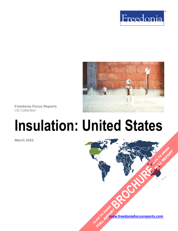



**Freedonia Focus Reports** US Collection

# **Insulation: United States**

**March 2022**

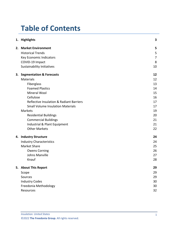# **Table of Contents**

|  | 1. Highlights                                       | 3              |
|--|-----------------------------------------------------|----------------|
|  | 2. Market Environment                               | 5              |
|  | <b>Historical Trends</b>                            | 5              |
|  | Key Economic Indicators                             | $\overline{7}$ |
|  | COVID-19 Impact                                     | 8              |
|  | <b>Sustainability Initiatives</b>                   | 10             |
|  | 3. Segmentation & Forecasts                         | 12             |
|  | <b>Materials</b>                                    | 12             |
|  | Fiberglass                                          | 13             |
|  | <b>Foamed Plastics</b>                              | 14             |
|  | Mineral Wool                                        | 15             |
|  | Cellulose                                           | 16             |
|  | <b>Reflective Insulation &amp; Radiant Barriers</b> | 17             |
|  | <b>Small Volume Insulation Materials</b>            | 17             |
|  | <b>Markets</b>                                      | 19             |
|  | <b>Residential Buildings</b>                        | 20             |
|  | <b>Commercial Buildings</b>                         | 21             |
|  | Industrial & Plant Equipment                        | 21             |
|  | <b>Other Markets</b>                                | 22             |
|  | 4. Industry Structure                               | 24             |
|  | <b>Industry Characteristics</b>                     | 24             |
|  | Market Share                                        | 25             |
|  | <b>Owens Corning</b>                                | 26             |
|  | <b>Johns Manville</b>                               | 27             |
|  | Knauf                                               | 28             |
|  | 5. About This Report                                | 29             |
|  | Scope                                               | 29             |
|  | Sources                                             | 29             |
|  | <b>Industry Codes</b>                               | 30             |
|  | Freedonia Methodology                               | 30             |
|  | Resources                                           | 32             |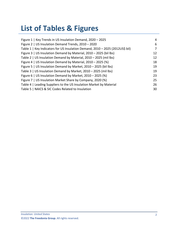# **List of Tables & Figures**

| Figure 1   Key Trends in US Insulation Demand, 2020 - 2025                    | 4  |
|-------------------------------------------------------------------------------|----|
| Figure 2   US Insulation Demand Trends, 2010 - 2020                           | 6  |
| Table 1   Key Indicators for US Insulation Demand, 2010 - 2025 (2012US\$ bil) | 7  |
| Figure 3   US Insulation Demand by Material, 2010 - 2025 (bil lbs)            | 12 |
| Table 2   US Insulation Demand by Material, 2010 - 2025 (mil lbs)             | 12 |
| Figure 4   US Insulation Demand by Material, $2010 - 2025$ (%)                | 18 |
| Figure 5   US Insulation Demand by Market, 2010 - 2025 (bil lbs)              | 19 |
| Table 3   US Insulation Demand by Market, 2010 - 2025 (mil lbs)               | 19 |
| Figure 6   US Insulation Demand by Market, $2010 - 2025$ (%)                  | 23 |
| Figure 7   US Insulation Market Share by Company, 2020 (%)                    | 25 |
| Table 4   Leading Suppliers to the US Insulation Market by Material           | 26 |
| Table 5   NAICS & SIC Codes Related to Insulation                             | 30 |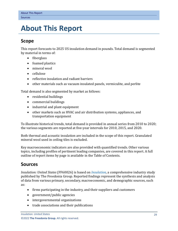## <span id="page-3-0"></span>**5. About This Report**

## <span id="page-3-1"></span>**Scope**

This report forecasts to 2025 US insulation demand in pounds. Total demand is segmented by material in terms of:

- fiberglass
- foamed plastics
- mineral wool
- cellulose
- reflective insulation and radiant barriers
- other materials such as vacuum insulated panels, vermiculite, and perlite

Total demand is also segmented by market as follows:

- residential buildings
- commercial buildings
- industrial and plant equipment
- other markets such as HVAC and air distribution systems, appliances, and transportation equipment

To illustrate historical trends, total demand is provided in annual series from 2010 to 2020; the various segments are reported at five-year intervals for 2010, 2015, and 2020.

Both thermal and acoustic insulation are included in the scope of this report. Granulated mineral wool used in ceiling tiles is excluded.

Key macroeconomic indicators are also provided with quantified trends. Other various topics, including profiles of pertinent leading companies, are covered in this report. A full outline of report items by page is available in the Table of Contents.

## <span id="page-3-2"></span>**Sources**

*Insulation: United States* (FF60026) is based on *[Insulation,](http://www.freedoniagroup.com/DocumentDetails.aspx?ReferrerId=FL-FOCUS&studyid=4304)* a comprehensive industry study published by The Freedonia Group. Reported findings represent the synthesis and analysis of data from various primary, secondary, macroeconomic, and demographic sources, such as:

- firms participating in the industry, and their suppliers and customers
- government/public agencies
- intergovernmental organizations
- trade associations and their publications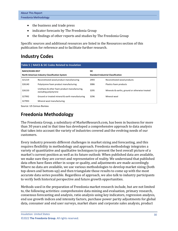- the business and trade press
- indicator forecasts by The Freedonia Group
- the findings of other reports and studies by The Freedonia Group

Specific sources and additional resources are listed in the Resources section of this publication for reference and to facilitate further research.

## <span id="page-4-0"></span>**Industry Codes**

<span id="page-4-2"></span>

| Table 5   NAICS & SIC Codes Related to Insulation                               |                                                                       |                                                         |                                                |  |  |  |
|---------------------------------------------------------------------------------|-----------------------------------------------------------------------|---------------------------------------------------------|------------------------------------------------|--|--|--|
| <b>NAICS/SCIAN 2017</b><br><b>North American Industry Classification System</b> |                                                                       | <b>SIC</b><br><b>Standard Industrial Classification</b> |                                                |  |  |  |
| 321219                                                                          | Reconstituted wood product manufacturing                              | 2493                                                    | Reconstituted wood products                    |  |  |  |
| 326140                                                                          | Polystyrene foam product manufacturing                                | 3086                                                    | Plastics foam products                         |  |  |  |
| 326150                                                                          | Urethane & other foam product manufacturing,<br>excluding polystyrene | 3295                                                    | Minerals & earths, ground or otherwise treated |  |  |  |
| 327992                                                                          | Ground or treated mineral & earth manufacturing                       | 3296                                                    | Mineral wool                                   |  |  |  |
| 327993                                                                          | Mineral wool manufacturing                                            |                                                         |                                                |  |  |  |

Source: US Census Bureau

## <span id="page-4-1"></span>**Freedonia Methodology**

The Freedonia Group, a subsidiary of MarketResearch.com, has been in business for more than 30 years and in that time has developed a comprehensive approach to data analysis that takes into account the variety of industries covered and the evolving needs of our customers.

Every industry presents different challenges in market sizing and forecasting, and this requires flexibility in methodology and approach. Freedonia methodology integrates a variety of quantitative and qualitative techniques to present the best overall picture of a market's current position as well as its future outlook: When published data are available, we make sure they are correct and representative of reality. We understand that published data often have flaws either in scope or quality, and adjustments are made accordingly. Where no data are available, we use various methodologies to develop market sizing (both top-down and bottom-up) and then triangulate those results to come up with the most accurate data series possible. Regardless of approach, we also talk to industry participants to verify both historical perspective and future growth opportunities.

Methods used in the preparation of Freedonia market research include, but are not limited to, the following activities: comprehensive data mining and evaluation, primary research, consensus forecasting and analysis, ratio analysis using key indicators, regression analysis, end use growth indices and intensity factors, purchase power parity adjustments for global data, consumer and end user surveys, market share and corporate sales analysis, product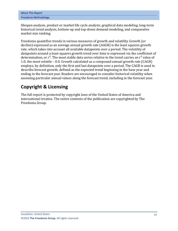lifespan analysis, product or market life cycle analysis, graphical data modeling, long-term historical trend analysis, bottom-up and top-down demand modeling, and comparative market size ranking.

Freedonia quantifies trends in various measures of growth and volatility. Growth (or decline) expressed as an average annual growth rate (AAGR) is the least squares growth rate, which takes into account all available datapoints over a period. The volatility of datapoints around a least squares growth trend over time is expressed via the coefficient of determination, or  $r^2$ . The most stable data series relative to the trend carries an  $r^2$  value of 1.0; the most volatile – 0.0. Growth calculated as a compound annual growth rate (CAGR) employs, by definition, only the first and last datapoints over a period. The CAGR is used to describe forecast growth, defined as the expected trend beginning in the base year and ending in the forecast year. Readers are encouraged to consider historical volatility when assessing particular annual values along the forecast trend, including in the forecast year.

## **Copyright & Licensing**

The full report is protected by copyright laws of the United States of America and international treaties. The entire contents of the publication are copyrighted by The Freedonia Group.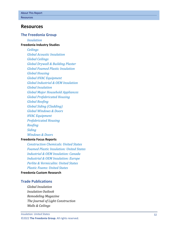## <span id="page-6-0"></span>**Resources**

#### **The Freedonia Group**

*[Insulation](http://www.freedoniagroup.com/DocumentDetails.aspx?ReferrerId=FL-FOCUS&studyid=4304)*

#### **[Freedonia Industry Studies](http://www.freedoniagroup.com/Home.aspx?ReferrerId=FL-Focus)**

*[Ceilings](https://www.freedoniagroup.com/DocumentDetails.aspx?ReferrerId=FL-FOCUS&StudyId=3719) [Global Acoustic Insulation](https://www.freedoniagroup.com/DocumentDetails.aspx?ReferrerId=FL-FOCUS&StudyId=3708) [Global Ceilings](https://www.freedoniagroup.com/DocumentDetails.aspx?ReferrerId=FL-FOCUS&StudyId=4209) [Global Drywall & Building Plaster](https://www.freedoniagroup.com/DocumentDetails.aspx?ReferrerId=FL-FOCUS&StudyId=3768) [Global Foamed Plastic Insulation](https://www.freedoniagroup.com/DocumentDetails.aspx?ReferrerId=FL-FOCUS&StudyId=3756) [Global Housing](https://www.freedoniagroup.com/DocumentDetails.aspx?ReferrerId=FL-FOCUS&StudyId=4331) [Global HVAC Equipment](https://www.freedoniagroup.com/DocumentDetails.aspx?ReferrerId=FL-FOCUS&StudyId=4046) [Global Industrial & OEM Insulatio](https://www.freedoniagroup.com/DocumentDetails.aspx?ReferrerId=FL-FOCUS&StudyId=3783) n [Global Insulation](https://www.freedoniagroup.com/DocumentDetails.aspx?ReferrerId=FL-FOCUS&StudyId=4267) [Global Major Household Appliance](https://www.freedoniagroup.com/DocumentDetails.aspx?ReferrerId=FL-FOCUS&StudyId=3739) s [Global Prefabricated Housing](https://www.freedoniagroup.com/DocumentDetails.aspx?ReferrerId=FL-FOCUS&StudyId=3971) [Global Roofing](https://www.freedoniagroup.com/DocumentDetails.aspx?ReferrerId=FL-FOCUS&StudyId=3698) [Global Siding \(Cladding\)](https://www.freedoniagroup.com/DocumentDetails.aspx?ReferrerId=FL-FOCUS&StudyId=3874) [Global Windows & Doors](https://www.freedoniagroup.com/DocumentDetails.aspx?ReferrerId=FL-FOCUS&StudyId=4303) [HVAC Equipment](https://www.freedoniagroup.com/DocumentDetails.aspx?ReferrerId=FL-FOCUS&StudyId=3730) [Prefabricated Housing](https://www.freedoniagroup.com/DocumentDetails.aspx?ReferrerId=FL-FOCUS&StudyId=3814) [Roofing](https://www.freedoniagroup.com/DocumentDetails.aspx?ReferrerId=FL-FOCUS&StudyId=4216) [Siding](https://www.freedoniagroup.com/DocumentDetails.aspx?ReferrerId=FL-FOCUS&StudyId=4152) [Windows & Doors](https://www.freedoniagroup.com/DocumentDetails.aspx?ReferrerId=FL-FOCUS&StudyId=3726)*

#### **[Freedonia Focus Reports](https://www.freedoniafocusreports.com/redirect.asp?progid=89534&url=/)**

*[Construction Chemicals: United States](https://www.freedoniafocusreports.com/Construction-Chemicals-United-States-FF35053/?progid=89534) [Foamed Plastic Insulation: United States](https://www.freedoniafocusreports.com/Foamed-Plastic-Insulation-United-States-FF60118/?progid=89534) [Industrial & OEM Insulation: Canada](https://www.freedoniafocusreports.com/Industrial-OEM-Insulation-Canada-FA60121/?progid=89534) [Industrial & OEM Insulation: Europe](https://www.freedoniafocusreports.com/Industrial-OEM-Insulation-Europe-FE60121/?progid=89534) [Perlite & Vermiculite: United States](https://www.freedoniafocusreports.com/Perlite-Vermiculite-United-States-FF65049/?progid=89534) [Plastic Foams: United States](https://www.freedoniafocusreports.com/Plastic-Foams-United-States-FF55013/?progid=89534)*

### **[Freedonia Custom Research](http://www.freedoniagroup.com/CustomResearch.aspx?ReferrerId=FL-Focus)**

#### **Trade Publications**

*Global Insulation Insulation Outlook Remodeling Magazine The Journal of Light Construction Walls & Ceilings*